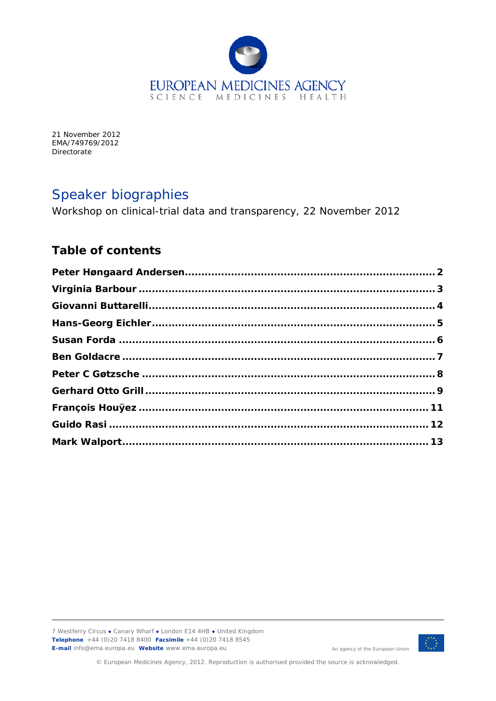

21 November 2012 EMA/749769/2012 Directorate

# Speaker biographies

Workshop on clinical-trial data and transparency, 22 November 2012

# **Table of contents**



An agency of the European Union

<span id="page-0-0"></span>© European Medicines Agency, 2012. Reproduction is authorised provided the source is acknowledged.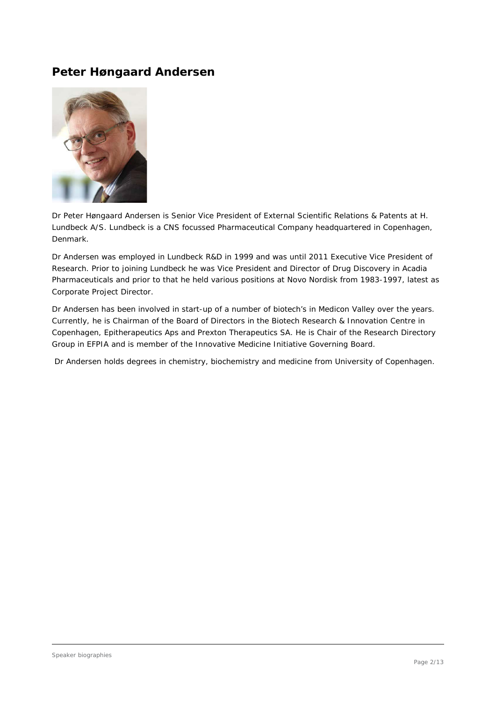### **Peter Høngaard Andersen**



Dr Peter Høngaard Andersen is Senior Vice President of External Scientific Relations & Patents at H. Lundbeck A/S. Lundbeck is a CNS focussed Pharmaceutical Company headquartered in Copenhagen, Denmark.

Dr Andersen was employed in Lundbeck R&D in 1999 and was until 2011 Executive Vice President of Research. Prior to joining Lundbeck he was Vice President and Director of Drug Discovery in Acadia Pharmaceuticals and prior to that he held various positions at Novo Nordisk from 1983-1997, latest as Corporate Project Director.

Dr Andersen has been involved in start-up of a number of biotech's in Medicon Valley over the years. Currently, he is Chairman of the Board of Directors in the Biotech Research & Innovation Centre in Copenhagen, Epitherapeutics Aps and Prexton Therapeutics SA. He is Chair of the Research Directory Group in EFPIA and is member of the Innovative Medicine Initiative Governing Board.

Dr Andersen holds degrees in chemistry, biochemistry and medicine from University of Copenhagen.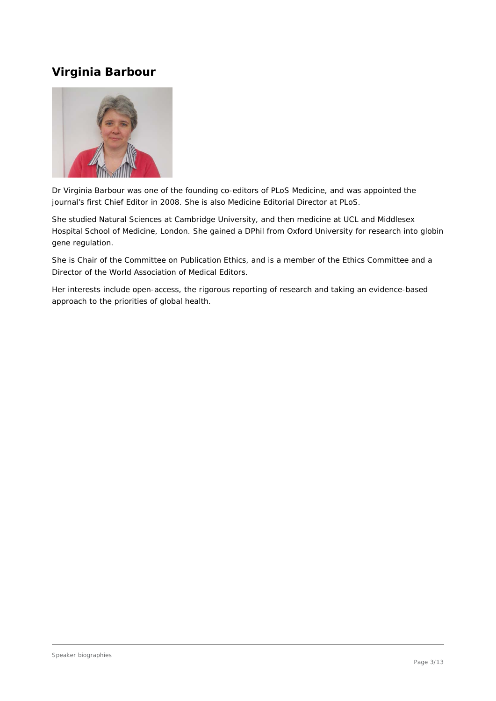# <span id="page-2-0"></span>**Virginia Barbour**



Dr Virginia Barbour was one of the founding co-editors of PLoS Medicine, and was appointed the journal's first Chief Editor in 2008. She is also Medicine Editorial Director at PLoS.

She studied Natural Sciences at Cambridge University, and then medicine at UCL and Middlesex Hospital School of Medicine, London. She gained a DPhil from Oxford University for research into globin gene regulation.

She is Chair of the Committee on Publication Ethics, and is a member of the Ethics Committee and a Director of the World Association of Medical Editors.

Her interests include open-access, the rigorous reporting of research and taking an evidence-based approach to the priorities of global health.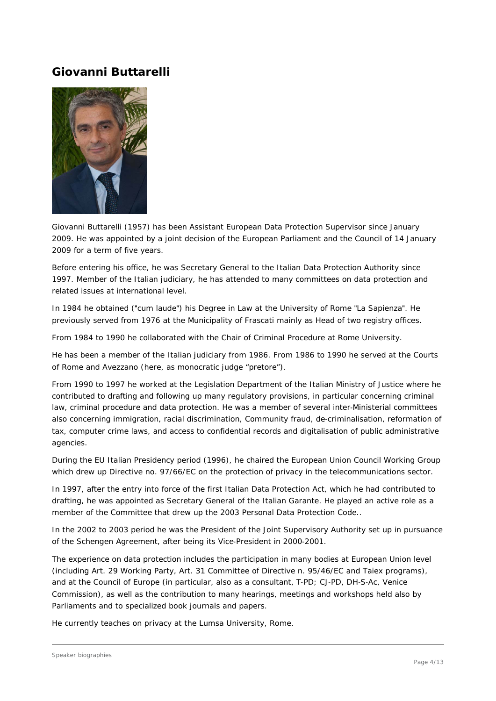### <span id="page-3-0"></span>**Giovanni Buttarelli**



Giovanni Buttarelli (1957) has been Assistant European Data Protection Supervisor since January 2009. He was appointed by a joint decision of the European Parliament and the Council of 14 January 2009 for a term of five years.

Before entering his office, he was Secretary General to the Italian Data Protection Authority since 1997. Member of the Italian judiciary, he has attended to many committees on data protection and related issues at international level.

In 1984 he obtained ("cum laude") his Degree in Law at the University of Rome "La Sapienza". He previously served from 1976 at the Municipality of Frascati mainly as Head of two registry offices.

From 1984 to 1990 he collaborated with the Chair of Criminal Procedure at Rome University.

He has been a member of the Italian judiciary from 1986. From 1986 to 1990 he served at the Courts of Rome and Avezzano (here, as monocratic judge "pretore").

From 1990 to 1997 he worked at the Legislation Department of the Italian Ministry of Justice where he contributed to drafting and following up many regulatory provisions, in particular concerning criminal law, criminal procedure and data protection. He was a member of several inter‐Ministerial committees also concerning immigration, racial discrimination, Community fraud, de‐criminalisation, reformation of tax, computer crime laws, and access to confidential records and digitalisation of public administrative agencies.

During the EU Italian Presidency period (1996), he chaired the European Union Council Working Group which drew up Directive no. 97/66/EC on the protection of privacy in the telecommunications sector.

In 1997, after the entry into force of the first Italian Data Protection Act, which he had contributed to drafting, he was appointed as Secretary General of the Italian Garante. He played an active role as a member of the Committee that drew up the 2003 Personal Data Protection Code..

In the 2002 to 2003 period he was the President of the Joint Supervisory Authority set up in pursuance of the Schengen Agreement, after being its Vice‐President in 2000‐2001.

The experience on data protection includes the participation in many bodies at European Union level (including Art. 29 Working Party, Art. 31 Committee of Directive n. 95/46/EC and Taiex programs), and at the Council of Europe (in particular, also as a consultant, T‐PD; CJ‐PD, DH‐S‐Ac, Venice Commission), as well as the contribution to many hearings, meetings and workshops held also by Parliaments and to specialized book journals and papers.

He currently teaches on privacy at the Lumsa University, Rome.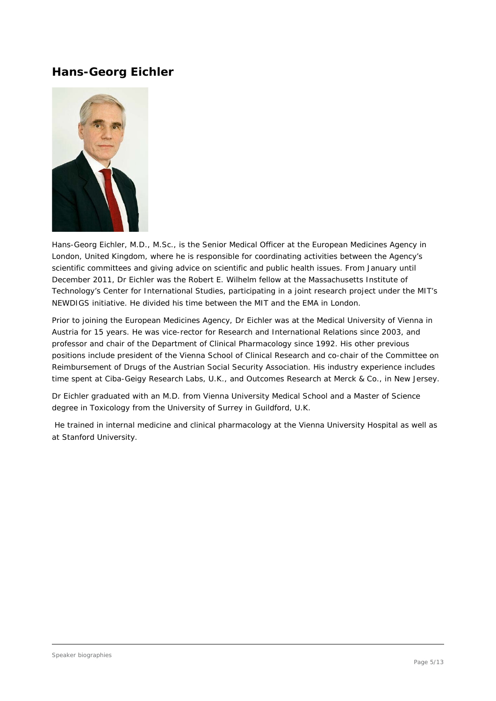### <span id="page-4-0"></span>**Hans-Georg Eichler**



Hans-Georg Eichler, M.D., M.Sc., is the Senior Medical Officer at the European Medicines Agency in London, United Kingdom, where he is responsible for coordinating activities between the Agency's scientific committees and giving advice on scientific and public health issues. From January until December 2011, Dr Eichler was the Robert E. Wilhelm fellow at the Massachusetts Institute of Technology's Center for International Studies, participating in a joint research project under the MIT's NEWDIGS initiative. He divided his time between the MIT and the EMA in London.

Prior to joining the European Medicines Agency, Dr Eichler was at the Medical University of Vienna in Austria for 15 years. He was vice-rector for Research and International Relations since 2003, and professor and chair of the Department of Clinical Pharmacology since 1992. His other previous positions include president of the Vienna School of Clinical Research and co-chair of the Committee on Reimbursement of Drugs of the Austrian Social Security Association. His industry experience includes time spent at Ciba-Geigy Research Labs, U.K., and Outcomes Research at Merck & Co., in New Jersey.

Dr Eichler graduated with an M.D. from Vienna University Medical School and a Master of Science degree in Toxicology from the University of Surrey in Guildford, U.K.

He trained in internal medicine and clinical pharmacology at the Vienna University Hospital as well as at Stanford University.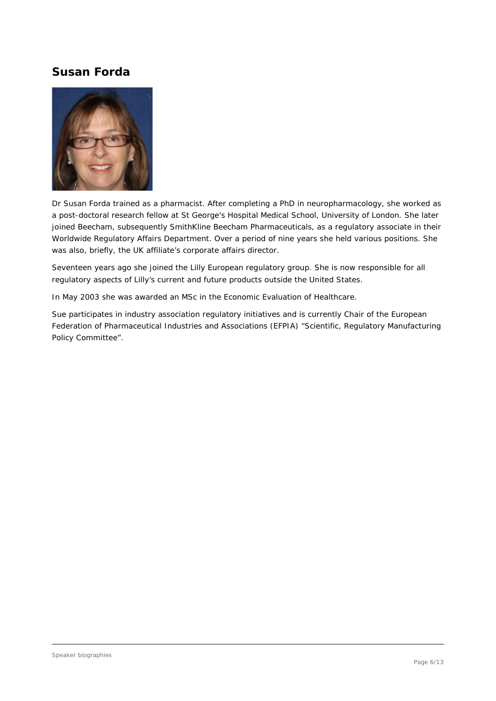### <span id="page-5-0"></span>**Susan Forda**



Dr Susan Forda trained as a pharmacist. After completing a PhD in neuropharmacology, she worked as a post-doctoral research fellow at St George's Hospital Medical School, University of London. She later joined Beecham, subsequently SmithKline Beecham Pharmaceuticals, as a regulatory associate in their Worldwide Regulatory Affairs Department. Over a period of nine years she held various positions. She was also, briefly, the UK affiliate's corporate affairs director.

Seventeen years ago she joined the Lilly European regulatory group. She is now responsible for all regulatory aspects of Lilly's current and future products outside the United States.

In May 2003 she was awarded an MSc in the Economic Evaluation of Healthcare.

Sue participates in industry association regulatory initiatives and is currently Chair of the European Federation of Pharmaceutical Industries and Associations (EFPIA) "Scientific, Regulatory Manufacturing Policy Committee".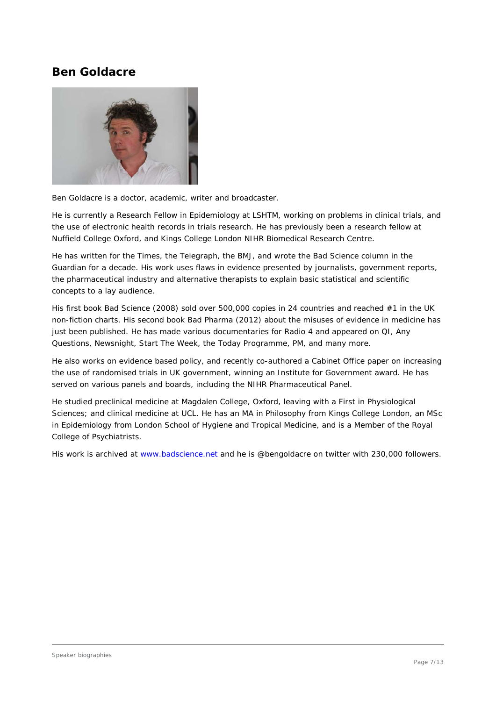### <span id="page-6-0"></span>**Ben Goldacre**



Ben Goldacre is a doctor, academic, writer and broadcaster.

He is currently a Research Fellow in Epidemiology at LSHTM, working on problems in clinical trials, and the use of electronic health records in trials research. He has previously been a research fellow at Nuffield College Oxford, and Kings College London NIHR Biomedical Research Centre.

He has written for the Times, the Telegraph, the BMJ, and wrote the Bad Science column in the Guardian for a decade. His work uses flaws in evidence presented by journalists, government reports, the pharmaceutical industry and alternative therapists to explain basic statistical and scientific concepts to a lay audience.

His first book Bad Science (2008) sold over 500,000 copies in 24 countries and reached #1 in the UK non-fiction charts. His second book Bad Pharma (2012) about the misuses of evidence in medicine has just been published. He has made various documentaries for Radio 4 and appeared on QI, Any Questions, Newsnight, Start The Week, the Today Programme, PM, and many more.

He also works on evidence based policy, and recently co-authored a Cabinet Office paper on increasing the use of randomised trials in UK government, winning an Institute for Government award. He has served on various panels and boards, including the NIHR Pharmaceutical Panel.

He studied preclinical medicine at Magdalen College, Oxford, leaving with a First in Physiological Sciences; and clinical medicine at UCL. He has an MA in Philosophy from Kings College London, an MSc in Epidemiology from London School of Hygiene and Tropical Medicine, and is a Member of the Royal College of Psychiatrists.

His work is archived at www.badscience.net and he is @bengoldacre on twitter with 230,000 followers.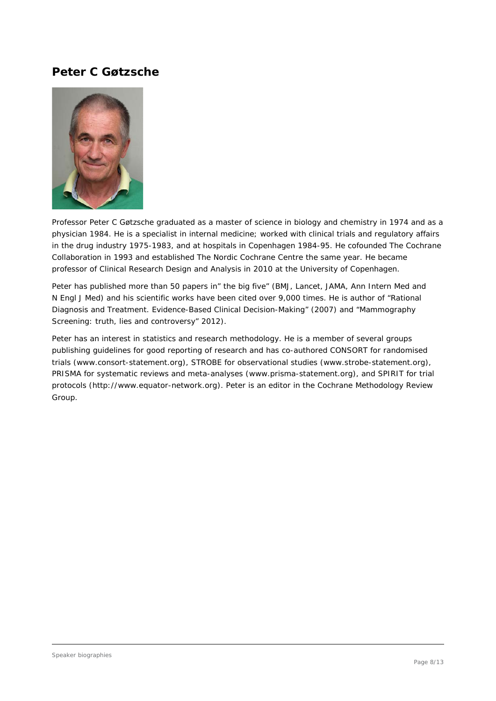### <span id="page-7-0"></span>**Peter C Gøtzsche**



Professor Peter C Gøtzsche graduated as a master of science in biology and chemistry in 1974 and as a physician 1984. He is a specialist in internal medicine; worked with clinical trials and regulatory affairs in the drug industry 1975-1983, and at hospitals in Copenhagen 1984-95. He cofounded The Cochrane Collaboration in 1993 and established The Nordic Cochrane Centre the same year. He became professor of Clinical Research Design and Analysis in 2010 at the University of Copenhagen.

Peter has published more than 50 papers in" the big five" (BMJ, Lancet, JAMA, Ann Intern Med and N Engl J Med) and his scientific works have been cited over 9,000 times. He is author of "Rational Diagnosis and Treatment. Evidence-Based Clinical Decision-Making" (2007) and "Mammography Screening: truth, lies and controversy" 2012).

Peter has an interest in statistics and research methodology. He is a member of several groups publishing guidelines for good reporting of research and has co-authored CONSORT for randomised trials (www.consort-statement.org), STROBE for observational studies (www.strobe-statement.org), PRISMA for systematic reviews and meta-analyses (www.prisma-statement.org), and SPIRIT for trial protocols (http://www.equator-network.org). Peter is an editor in the Cochrane Methodology Review Group.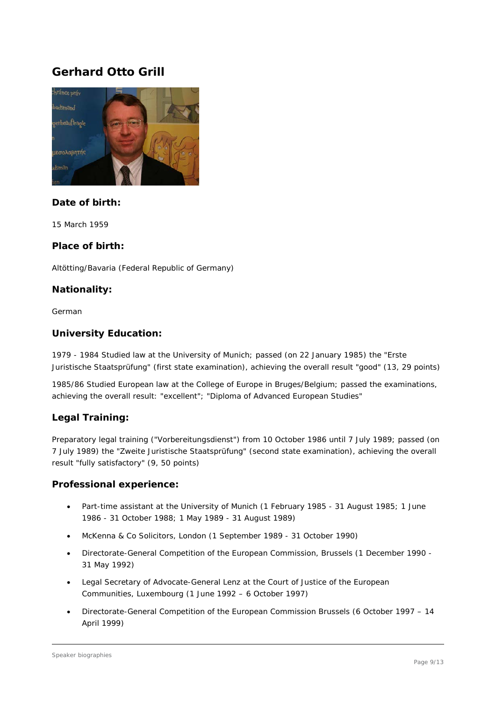## <span id="page-8-0"></span>**Gerhard Otto Grill**



#### *Date of birth:*

15 March 1959

#### *Place of birth:*

Altötting/Bavaria (Federal Republic of Germany)

#### *Nationality:*

German

#### *University Education:*

1979 - 1984 Studied law at the University of Munich; passed (on 22 January 1985) the "Erste Juristische Staatsprüfung" (first state examination), achieving the overall result "good" (13, 29 points)

1985/86 Studied European law at the College of Europe in Bruges/Belgium; passed the examinations, achieving the overall result: "excellent"; "Diploma of Advanced European Studies"

#### *Legal Training:*

Preparatory legal training ("Vorbereitungsdienst") from 10 October 1986 until 7 July 1989; passed (on 7 July 1989) the "Zweite Juristische Staatsprüfung" (second state examination), achieving the overall result "fully satisfactory" (9, 50 points)

#### *Professional experience:*

- Part-time assistant at the University of Munich (1 February 1985 31 August 1985; 1 June 1986 - 31 October 1988; 1 May 1989 - 31 August 1989)
- McKenna & Co Solicitors, London (1 September 1989 31 October 1990)
- Directorate-General Competition of the European Commission, Brussels (1 December 1990 31 May 1992)
- Legal Secretary of Advocate-General Lenz at the Court of Justice of the European Communities, Luxembourg (1 June 1992 – 6 October 1997)
- Directorate-General Competition of the European Commission Brussels (6 October 1997 14 April 1999)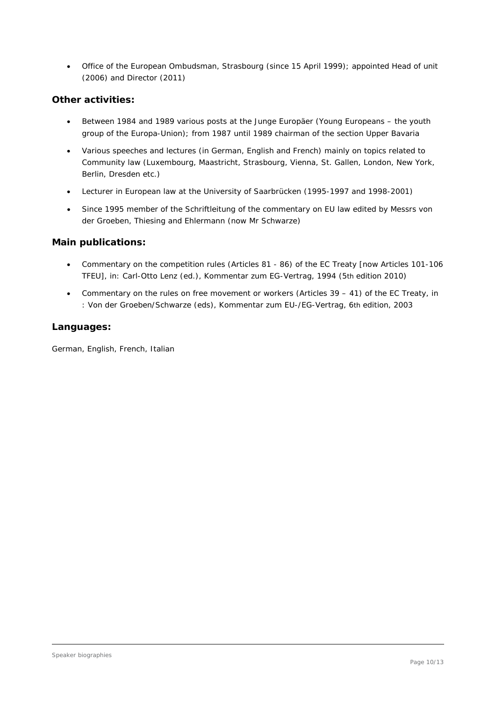• Office of the European Ombudsman, Strasbourg (since 15 April 1999); appointed Head of unit (2006) and Director (2011)

#### *Other activities:*

- Between 1984 and 1989 various posts at the Junge Europäer (Young Europeans the youth group of the Europa-Union); from 1987 until 1989 chairman of the section Upper Bavaria
- Various speeches and lectures (in German, English and French) mainly on topics related to Community law (Luxembourg, Maastricht, Strasbourg, Vienna, St. Gallen, London, New York, Berlin, Dresden etc.)
- Lecturer in European law at the University of Saarbrücken (1995-1997 and 1998-2001)
- Since 1995 member of the Schriftleitung of the commentary on EU law edited by Messrs von der Groeben, Thiesing and Ehlermann (now Mr Schwarze)

#### *Main publications:*

- Commentary on the competition rules (Articles 81 86) of the EC Treaty [now Articles 101-106 TFEU], in: Carl-Otto Lenz (ed.), Kommentar zum EG-Vertrag, 1994 (5th edition 2010)
- Commentary on the rules on free movement or workers (Articles 39 41) of the EC Treaty, in : Von der Groeben/Schwarze (eds), Kommentar zum EU-/EG-Vertrag, 6th edition, 2003

#### *Languages:*

German, English, French, Italian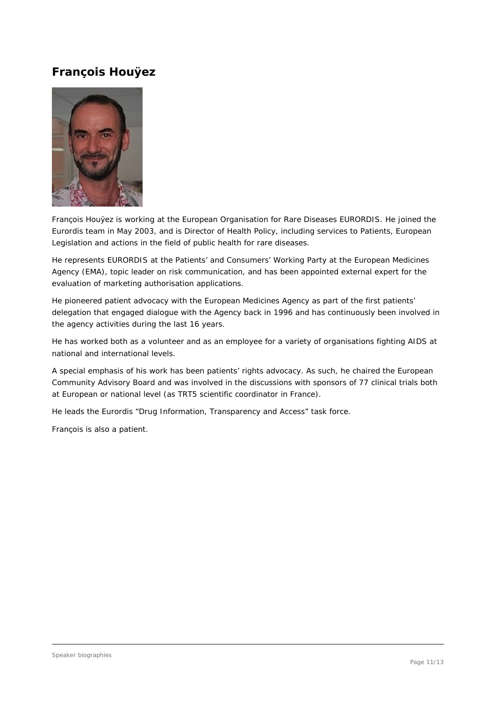### <span id="page-10-0"></span>**François Houÿez**



François Houÿez is working at the European Organisation for Rare Diseases EURORDIS. He joined the Eurordis team in May 2003, and is Director of Health Policy, including services to Patients, European Legislation and actions in the field of public health for rare diseases.

He represents EURORDIS at the Patients' and Consumers' Working Party at the European Medicines Agency (EMA), topic leader on risk communication, and has been appointed external expert for the evaluation of marketing authorisation applications.

He pioneered patient advocacy with the European Medicines Agency as part of the first patients' delegation that engaged dialogue with the Agency back in 1996 and has continuously been involved in the agency activities during the last 16 years.

He has worked both as a volunteer and as an employee for a variety of organisations fighting AIDS at national and international levels.

A special emphasis of his work has been patients' rights advocacy. As such, he chaired the European Community Advisory Board and was involved in the discussions with sponsors of 77 clinical trials both at European or national level (as TRT5 scientific coordinator in France).

He leads the Eurordis "Drug Information, Transparency and Access" task force.

François is also a patient.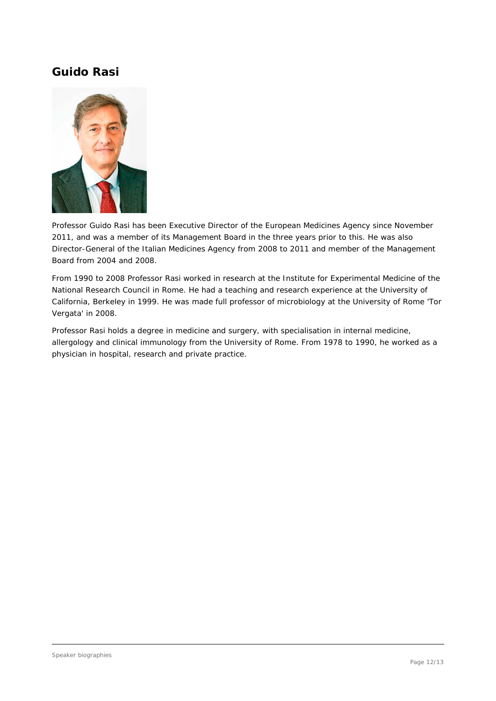### <span id="page-11-0"></span>**Guido Rasi**



Professor Guido Rasi has been Executive Director of the European Medicines Agency since November 2011, and was a member of its Management Board in the three years prior to this. He was also Director-General of the Italian Medicines Agency from 2008 to 2011 and member of the Management Board from 2004 and 2008.

From 1990 to 2008 Professor Rasi worked in research at the Institute for Experimental Medicine of the National Research Council in Rome. He had a teaching and research experience at the University of California, Berkeley in 1999. He was made full professor of microbiology at the University of Rome 'Tor Vergata' in 2008.

Professor Rasi holds a degree in medicine and surgery, with specialisation in internal medicine, allergology and clinical immunology from the University of Rome. From 1978 to 1990, he worked as a physician in hospital, research and private practice.